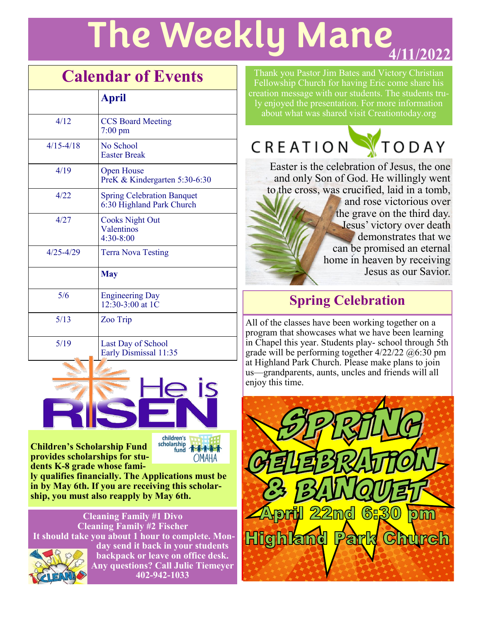# **The Weekly Mane**

## **Calendar of Events**

|               | <b>April</b>                                                   |
|---------------|----------------------------------------------------------------|
| 4/12          | <b>CCS Board Meeting</b><br>$7:00 \text{ pm}$                  |
| $4/15 - 4/18$ | No School<br><b>Easter Break</b>                               |
| 4/19          | <b>Open House</b><br>PreK & Kindergarten 5:30-6:30             |
| 4/22          | <b>Spring Celebration Banquet</b><br>6:30 Highland Park Church |
| 4/27          | <b>Cooks Night Out</b><br>Valentinos<br>4:30-8:00              |
| $4/25 - 4/29$ | <b>Terra Nova Testing</b>                                      |
|               | <b>May</b>                                                     |
| 5/6           | <b>Engineering Day</b><br>12:30-3:00 at 1C                     |
| 5/13          | Zoo Trip                                                       |
| 5/19          | Last Day of School<br>Early Dismissal 11:35                    |



scholarship<br>fund **Children's Scholarship Fund provides scholarships for students K-8 grade whose family qualifies financially. The Applications must be in by May 6th. If you are receiving this scholar-**

**ship, you must also reapply by May 6th.**

**Cleaning Family #1 Divo Cleaning Family #2 Fischer It should take you about 1 hour to complete. Monday send it back in your students backpack or leave on office desk. Any questions? Call Julie Tiemeyer** 

**402-942-1033**

**OMAHA** 

Thank you Pastor Jim Bates and Victory Christian Fellowship Church for having Eric come share his creation message with our students. The students truly enjoyed the presentation. For more information about what was shared visit Creationtoday.org



Easter is the celebration of Jesus, the one and only Son of God. He willingly went to the cross, was crucified, laid in a tomb, and rose victorious over the grave on the third day. Jesus' victory over death demonstrates that we can be promised an eternal home in heaven by receiving Jesus as our Savior.

### **Spring Celebration**

All of the classes have been working together on a program that showcases what we have been learning in Chapel this year. Students play- school through 5th grade will be performing together 4/22/22 @6:30 pm at Highland Park Church. Please make plans to join us—grandparents, aunts, uncles and friends will all enjoy this time.